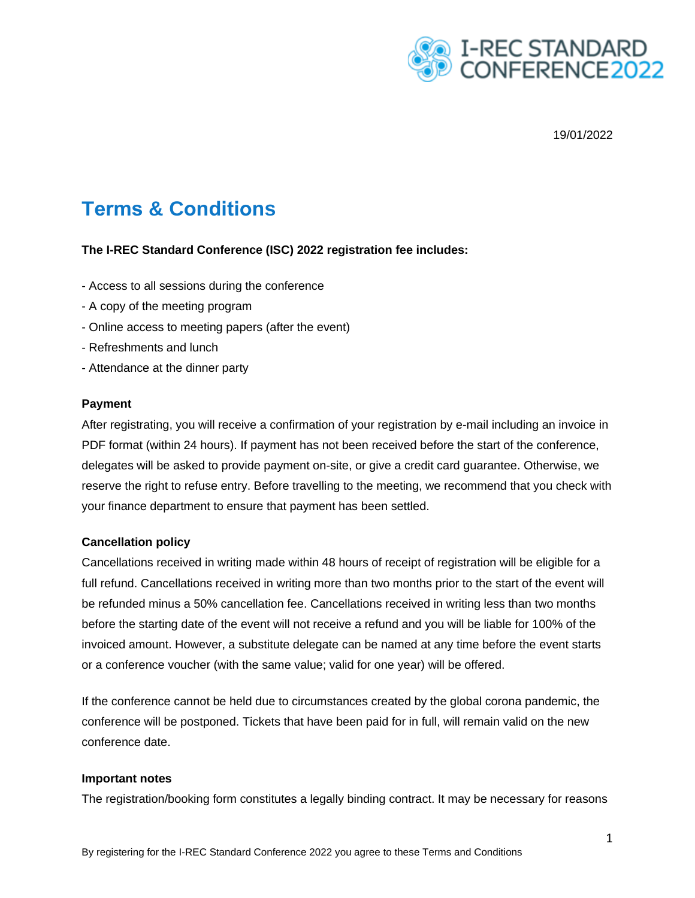

19/01/2022

# **Terms & Conditions**

## **The I-REC Standard Conference (ISC) 2022 registration fee includes:**

- Access to all sessions during the conference
- A copy of the meeting program
- Online access to meeting papers (after the event)
- Refreshments and lunch
- Attendance at the dinner party

#### **Payment**

After registrating, you will receive a confirmation of your registration by e-mail including an invoice in PDF format (within 24 hours). If payment has not been received before the start of the conference, delegates will be asked to provide payment on-site, or give a credit card guarantee. Otherwise, we reserve the right to refuse entry. Before travelling to the meeting, we recommend that you check with your finance department to ensure that payment has been settled.

#### **Cancellation policy**

Cancellations received in writing made within 48 hours of receipt of registration will be eligible for a full refund. Cancellations received in writing more than two months prior to the start of the event will be refunded minus a 50% cancellation fee. Cancellations received in writing less than two months before the starting date of the event will not receive a refund and you will be liable for 100% of the invoiced amount. However, a substitute delegate can be named at any time before the event starts or a conference voucher (with the same value; valid for one year) will be offered.

If the conference cannot be held due to circumstances created by the global corona pandemic, the conference will be postponed. Tickets that have been paid for in full, will remain valid on the new conference date.

#### **Important notes**

The registration/booking form constitutes a legally binding contract. It may be necessary for reasons